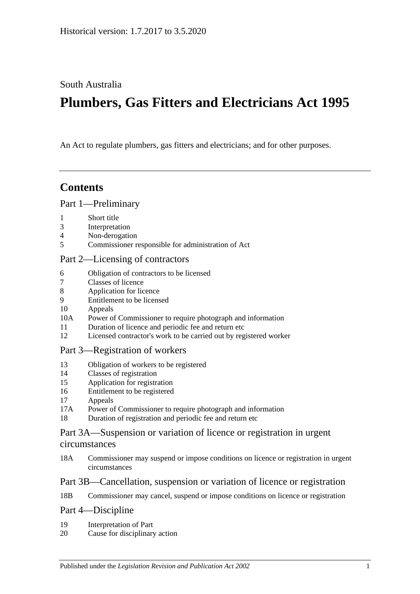South Australia

# **Plumbers, Gas Fitters and Electricians Act 1995**

An Act to regulate plumbers, gas fitters and electricians; and for other purposes.

## **Contents**

#### [Part 1—Preliminary](#page-1-0)

- 1 [Short title](#page-1-1)
- 3 [Interpretation](#page-1-2)
- 4 [Non-derogation](#page-3-0)
- 5 [Commissioner responsible for administration of Act](#page-3-1)

### [Part 2—Licensing of contractors](#page-3-2)

- 6 [Obligation of contractors to be licensed](#page-3-3)
- 7 [Classes of licence](#page-4-0)
- 8 [Application for licence](#page-5-0)
- 9 [Entitlement to be licensed](#page-5-1)
- 10 [Appeals](#page-7-0)
- 10A [Power of Commissioner to require photograph and information](#page-7-1)
- 11 [Duration of licence and periodic fee and return etc](#page-7-2)
- 12 [Licensed contractor's work to be carried out by registered worker](#page-8-0)

### [Part 3—Registration of workers](#page-8-1)

- 13 [Obligation of workers to be registered](#page-8-2)
- 14 [Classes of registration](#page-8-3)
- 15 [Application for registration](#page-9-0)
- 16 [Entitlement to be registered](#page-10-0)
- 17 [Appeals](#page-10-1)
- 17A [Power of Commissioner to require photograph and information](#page-10-2)
- 18 [Duration of registration and periodic fee and return etc](#page-11-0)

### [Part 3A—Suspension or variation of licence or registration in urgent](#page-11-1)  [circumstances](#page-11-1)

18A [Commissioner may suspend or impose conditions on licence or registration in urgent](#page-11-2)  [circumstances](#page-11-2)

### [Part 3B—Cancellation, suspension or variation of licence or registration](#page-12-0)

18B [Commissioner may cancel, suspend or impose conditions on licence or registration](#page-12-1)

### [Part 4—Discipline](#page-13-0)

- 19 [Interpretation of Part](#page-13-1)
- 20 [Cause for disciplinary action](#page-13-2)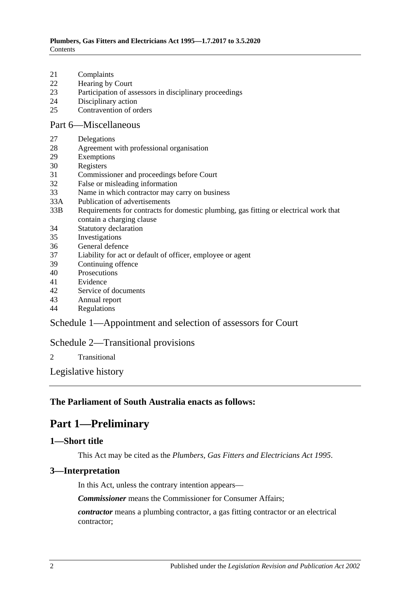- 21 [Complaints](#page-14-0)
- 22 [Hearing by Court](#page-14-1)
- 23 [Participation of assessors in disciplinary proceedings](#page-14-2)
- 24 [Disciplinary action](#page-15-0)
- 25 [Contravention of orders](#page-15-1)

#### [Part 6—Miscellaneous](#page-16-0)

- 27 [Delegations](#page-16-1)
- 28 [Agreement with professional organisation](#page-16-2)
- 29 [Exemptions](#page-17-0)
- 30 [Registers](#page-17-1)
- 31 [Commissioner and proceedings before Court](#page-18-0)
- 32 [False or misleading information](#page-18-1)
- 33 [Name in which contractor may carry on business](#page-18-2)
- 33A [Publication of advertisements](#page-18-3)
- 33B [Requirements for contracts for domestic plumbing, gas fitting or electrical work that](#page-18-4)  [contain a charging clause](#page-18-4)
- 34 [Statutory declaration](#page-19-0)
- 35 [Investigations](#page-19-1)
- 36 [General defence](#page-19-2)
- 37 [Liability for act or default of officer, employee or agent](#page-19-3)
- 39 [Continuing offence](#page-20-0)
- 40 [Prosecutions](#page-20-1)
- 41 [Evidence](#page-20-2)
- 42 [Service of documents](#page-20-3)
- 43 [Annual report](#page-21-0)
- 44 [Regulations](#page-21-1)

### [Schedule 1—Appointment and selection of assessors for Court](#page-22-0)

### [Schedule 2—Transitional provisions](#page-22-1)

2 [Transitional](#page-22-2)

[Legislative history](#page-24-0)

### <span id="page-1-0"></span>**The Parliament of South Australia enacts as follows:**

## **Part 1—Preliminary**

#### <span id="page-1-1"></span>**1—Short title**

This Act may be cited as the *Plumbers, Gas Fitters and Electricians Act 1995*.

### <span id="page-1-2"></span>**3—Interpretation**

In this Act, unless the contrary intention appears—

*Commissioner* means the Commissioner for Consumer Affairs;

*contractor* means a plumbing contractor, a gas fitting contractor or an electrical contractor;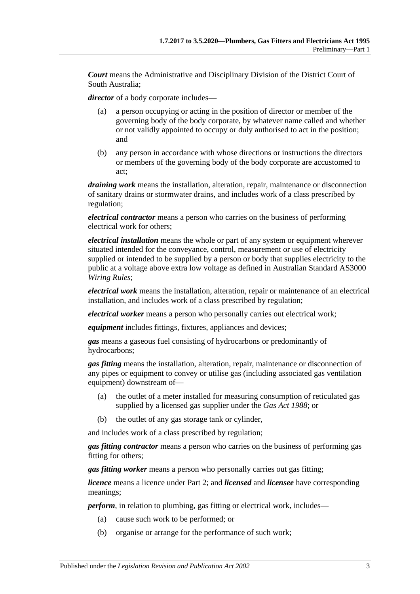*Court* means the Administrative and Disciplinary Division of the District Court of South Australia;

*director* of a body corporate includes—

- (a) a person occupying or acting in the position of director or member of the governing body of the body corporate, by whatever name called and whether or not validly appointed to occupy or duly authorised to act in the position; and
- (b) any person in accordance with whose directions or instructions the directors or members of the governing body of the body corporate are accustomed to act;

*draining work* means the installation, alteration, repair, maintenance or disconnection of sanitary drains or stormwater drains, and includes work of a class prescribed by regulation;

*electrical contractor* means a person who carries on the business of performing electrical work for others;

*electrical installation* means the whole or part of any system or equipment wherever situated intended for the conveyance, control, measurement or use of electricity supplied or intended to be supplied by a person or body that supplies electricity to the public at a voltage above extra low voltage as defined in Australian Standard AS3000 *Wiring Rules*;

*electrical work* means the installation, alteration, repair or maintenance of an electrical installation, and includes work of a class prescribed by regulation;

*electrical worker* means a person who personally carries out electrical work;

*equipment* includes fittings, fixtures, appliances and devices;

*gas* means a gaseous fuel consisting of hydrocarbons or predominantly of hydrocarbons;

*gas fitting* means the installation, alteration, repair, maintenance or disconnection of any pipes or equipment to convey or utilise gas (including associated gas ventilation equipment) downstream of—

- (a) the outlet of a meter installed for measuring consumption of reticulated gas supplied by a licensed gas supplier under the *[Gas Act](http://www.legislation.sa.gov.au/index.aspx?action=legref&type=act&legtitle=Gas%20Act%201988) 1988*; or
- (b) the outlet of any gas storage tank or cylinder,

and includes work of a class prescribed by regulation;

*gas fitting contractor* means a person who carries on the business of performing gas fitting for others;

*gas fitting worker* means a person who personally carries out gas fitting;

*licence* means a licence under [Part 2;](#page-3-2) and *licensed* and *licensee* have corresponding meanings;

*perform*, in relation to plumbing, gas fitting or electrical work, includes—

- (a) cause such work to be performed; or
- (b) organise or arrange for the performance of such work;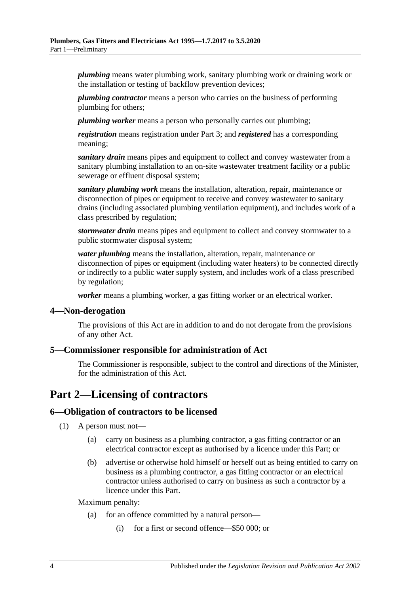*plumbing* means water plumbing work, sanitary plumbing work or draining work or the installation or testing of backflow prevention devices;

*plumbing contractor* means a person who carries on the business of performing plumbing for others;

*plumbing worker* means a person who personally carries out plumbing;

*registration* means registration under [Part 3;](#page-8-1) and *registered* has a corresponding meaning;

*sanitary drain* means pipes and equipment to collect and convey wastewater from a sanitary plumbing installation to an on-site wastewater treatment facility or a public sewerage or effluent disposal system;

*sanitary plumbing work* means the installation, alteration, repair, maintenance or disconnection of pipes or equipment to receive and convey wastewater to sanitary drains (including associated plumbing ventilation equipment), and includes work of a class prescribed by regulation;

*stormwater drain* means pipes and equipment to collect and convey stormwater to a public stormwater disposal system;

*water plumbing* means the installation, alteration, repair, maintenance or disconnection of pipes or equipment (including water heaters) to be connected directly or indirectly to a public water supply system, and includes work of a class prescribed by regulation;

*worker* means a plumbing worker, a gas fitting worker or an electrical worker.

#### <span id="page-3-0"></span>**4—Non-derogation**

The provisions of this Act are in addition to and do not derogate from the provisions of any other Act.

#### <span id="page-3-1"></span>**5—Commissioner responsible for administration of Act**

The Commissioner is responsible, subject to the control and directions of the Minister, for the administration of this Act.

## <span id="page-3-2"></span>**Part 2—Licensing of contractors**

#### <span id="page-3-3"></span>**6—Obligation of contractors to be licensed**

- (1) A person must not—
	- (a) carry on business as a plumbing contractor, a gas fitting contractor or an electrical contractor except as authorised by a licence under this Part; or
	- (b) advertise or otherwise hold himself or herself out as being entitled to carry on business as a plumbing contractor, a gas fitting contractor or an electrical contractor unless authorised to carry on business as such a contractor by a licence under this Part.

Maximum penalty:

- (a) for an offence committed by a natural person—
	- (i) for a first or second offence—\$50 000; or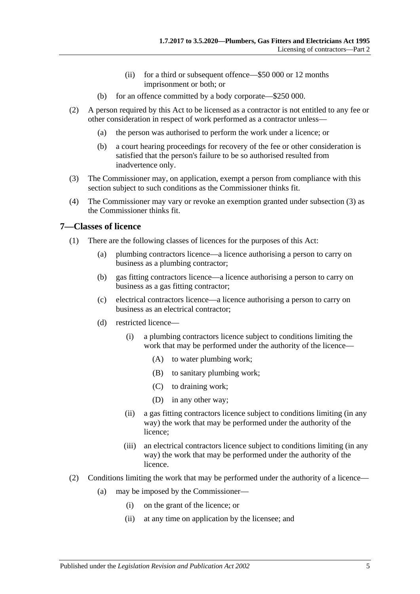- (ii) for a third or subsequent offence—\$50 000 or 12 months imprisonment or both; or
- (b) for an offence committed by a body corporate—\$250 000.
- (2) A person required by this Act to be licensed as a contractor is not entitled to any fee or other consideration in respect of work performed as a contractor unless—
	- (a) the person was authorised to perform the work under a licence; or
	- (b) a court hearing proceedings for recovery of the fee or other consideration is satisfied that the person's failure to be so authorised resulted from inadvertence only.
- <span id="page-4-1"></span>(3) The Commissioner may, on application, exempt a person from compliance with this section subject to such conditions as the Commissioner thinks fit.
- (4) The Commissioner may vary or revoke an exemption granted under [subsection](#page-4-1) (3) as the Commissioner thinks fit.

#### <span id="page-4-0"></span>**7—Classes of licence**

- (1) There are the following classes of licences for the purposes of this Act:
	- (a) plumbing contractors licence—a licence authorising a person to carry on business as a plumbing contractor;
	- (b) gas fitting contractors licence—a licence authorising a person to carry on business as a gas fitting contractor;
	- (c) electrical contractors licence—a licence authorising a person to carry on business as an electrical contractor;
	- (d) restricted licence—
		- (i) a plumbing contractors licence subject to conditions limiting the work that may be performed under the authority of the licence—
			- (A) to water plumbing work;
			- (B) to sanitary plumbing work;
			- (C) to draining work;
			- (D) in any other way;
		- (ii) a gas fitting contractors licence subject to conditions limiting (in any way) the work that may be performed under the authority of the licence;
		- (iii) an electrical contractors licence subject to conditions limiting (in any way) the work that may be performed under the authority of the licence.
- (2) Conditions limiting the work that may be performed under the authority of a licence—
	- (a) may be imposed by the Commissioner—
		- (i) on the grant of the licence; or
		- (ii) at any time on application by the licensee; and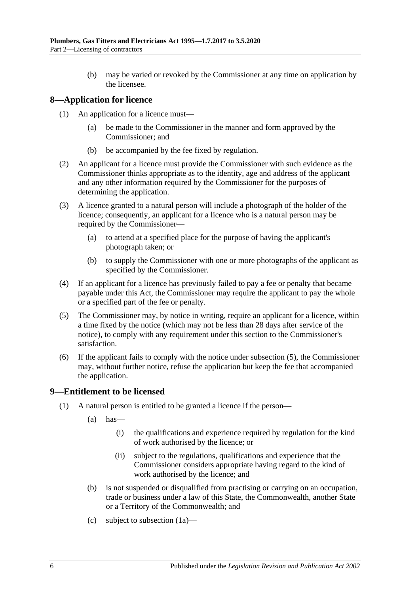(b) may be varied or revoked by the Commissioner at any time on application by the licensee.

## <span id="page-5-0"></span>**8—Application for licence**

- (1) An application for a licence must—
	- (a) be made to the Commissioner in the manner and form approved by the Commissioner; and
	- (b) be accompanied by the fee fixed by regulation.
- (2) An applicant for a licence must provide the Commissioner with such evidence as the Commissioner thinks appropriate as to the identity, age and address of the applicant and any other information required by the Commissioner for the purposes of determining the application.
- (3) A licence granted to a natural person will include a photograph of the holder of the licence; consequently, an applicant for a licence who is a natural person may be required by the Commissioner—
	- (a) to attend at a specified place for the purpose of having the applicant's photograph taken; or
	- (b) to supply the Commissioner with one or more photographs of the applicant as specified by the Commissioner.
- (4) If an applicant for a licence has previously failed to pay a fee or penalty that became payable under this Act, the Commissioner may require the applicant to pay the whole or a specified part of the fee or penalty.
- <span id="page-5-2"></span>(5) The Commissioner may, by notice in writing, require an applicant for a licence, within a time fixed by the notice (which may not be less than 28 days after service of the notice), to comply with any requirement under this section to the Commissioner's satisfaction.
- (6) If the applicant fails to comply with the notice under [subsection](#page-5-2) (5), the Commissioner may, without further notice, refuse the application but keep the fee that accompanied the application.

### <span id="page-5-1"></span>**9—Entitlement to be licensed**

- <span id="page-5-3"></span>(1) A natural person is entitled to be granted a licence if the person—
	- $(a)$  has
		- (i) the qualifications and experience required by regulation for the kind of work authorised by the licence; or
		- (ii) subject to the regulations, qualifications and experience that the Commissioner considers appropriate having regard to the kind of work authorised by the licence; and
	- (b) is not suspended or disqualified from practising or carrying on an occupation, trade or business under a law of this State, the Commonwealth, another State or a Territory of the Commonwealth; and
	- (c) subject to [subsection](#page-6-0) (1a)—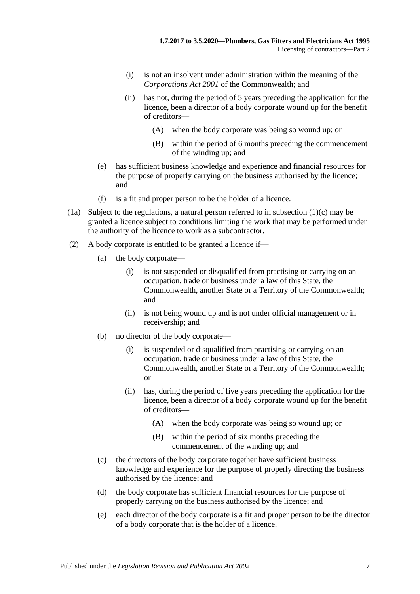- (i) is not an insolvent under administration within the meaning of the *Corporations Act 2001* of the Commonwealth; and
- (ii) has not, during the period of 5 years preceding the application for the licence, been a director of a body corporate wound up for the benefit of creditors—
	- (A) when the body corporate was being so wound up; or
	- (B) within the period of 6 months preceding the commencement of the winding up; and
- (e) has sufficient business knowledge and experience and financial resources for the purpose of properly carrying on the business authorised by the licence; and
- (f) is a fit and proper person to be the holder of a licence.
- <span id="page-6-0"></span>(1a) Subject to the regulations, a natural person referred to in [subsection](#page-5-3) (1)(c) may be granted a licence subject to conditions limiting the work that may be performed under the authority of the licence to work as a subcontractor.
- (2) A body corporate is entitled to be granted a licence if—
	- (a) the body corporate—
		- (i) is not suspended or disqualified from practising or carrying on an occupation, trade or business under a law of this State, the Commonwealth, another State or a Territory of the Commonwealth; and
		- (ii) is not being wound up and is not under official management or in receivership; and
	- (b) no director of the body corporate—
		- (i) is suspended or disqualified from practising or carrying on an occupation, trade or business under a law of this State, the Commonwealth, another State or a Territory of the Commonwealth; or
		- (ii) has, during the period of five years preceding the application for the licence, been a director of a body corporate wound up for the benefit of creditors—
			- (A) when the body corporate was being so wound up; or
			- (B) within the period of six months preceding the commencement of the winding up; and
	- (c) the directors of the body corporate together have sufficient business knowledge and experience for the purpose of properly directing the business authorised by the licence; and
	- (d) the body corporate has sufficient financial resources for the purpose of properly carrying on the business authorised by the licence; and
	- (e) each director of the body corporate is a fit and proper person to be the director of a body corporate that is the holder of a licence.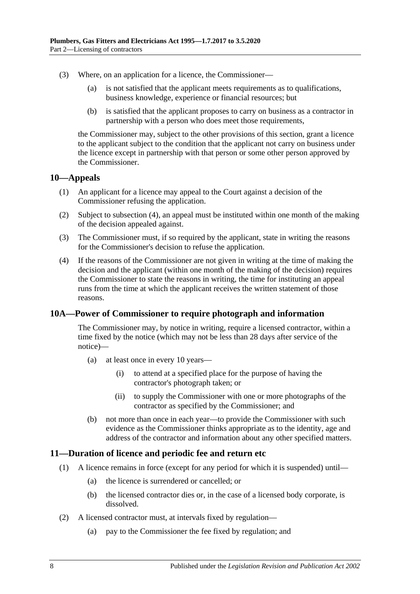- (3) Where, on an application for a licence, the Commissioner—
	- (a) is not satisfied that the applicant meets requirements as to qualifications, business knowledge, experience or financial resources; but
	- (b) is satisfied that the applicant proposes to carry on business as a contractor in partnership with a person who does meet those requirements,

the Commissioner may, subject to the other provisions of this section, grant a licence to the applicant subject to the condition that the applicant not carry on business under the licence except in partnership with that person or some other person approved by the Commissioner.

#### <span id="page-7-0"></span>**10—Appeals**

- (1) An applicant for a licence may appeal to the Court against a decision of the Commissioner refusing the application.
- (2) Subject to [subsection](#page-7-3) (4), an appeal must be instituted within one month of the making of the decision appealed against.
- (3) The Commissioner must, if so required by the applicant, state in writing the reasons for the Commissioner's decision to refuse the application.
- <span id="page-7-3"></span>(4) If the reasons of the Commissioner are not given in writing at the time of making the decision and the applicant (within one month of the making of the decision) requires the Commissioner to state the reasons in writing, the time for instituting an appeal runs from the time at which the applicant receives the written statement of those reasons.

### <span id="page-7-1"></span>**10A—Power of Commissioner to require photograph and information**

The Commissioner may, by notice in writing, require a licensed contractor, within a time fixed by the notice (which may not be less than 28 days after service of the notice)—

- (a) at least once in every 10 years—
	- (i) to attend at a specified place for the purpose of having the contractor's photograph taken; or
	- (ii) to supply the Commissioner with one or more photographs of the contractor as specified by the Commissioner; and
- (b) not more than once in each year—to provide the Commissioner with such evidence as the Commissioner thinks appropriate as to the identity, age and address of the contractor and information about any other specified matters.

#### <span id="page-7-2"></span>**11—Duration of licence and periodic fee and return etc**

- (1) A licence remains in force (except for any period for which it is suspended) until—
	- (a) the licence is surrendered or cancelled; or
	- (b) the licensed contractor dies or, in the case of a licensed body corporate, is dissolved.
- <span id="page-7-4"></span>(2) A licensed contractor must, at intervals fixed by regulation—
	- (a) pay to the Commissioner the fee fixed by regulation; and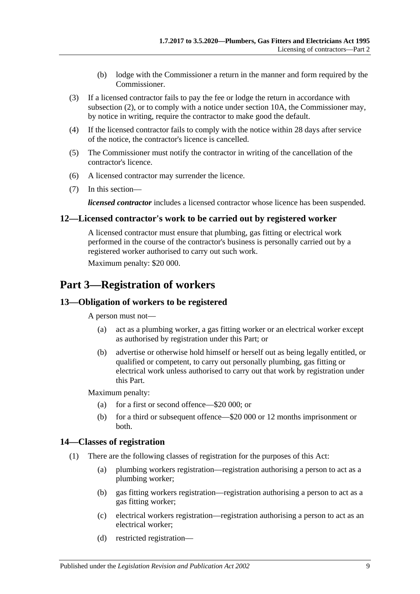- (b) lodge with the Commissioner a return in the manner and form required by the Commissioner.
- (3) If a licensed contractor fails to pay the fee or lodge the return in accordance with [subsection](#page-7-4) (2), or to comply with a notice under [section](#page-7-1) 10A, the Commissioner may, by notice in writing, require the contractor to make good the default.
- (4) If the licensed contractor fails to comply with the notice within 28 days after service of the notice, the contractor's licence is cancelled.
- (5) The Commissioner must notify the contractor in writing of the cancellation of the contractor's licence.
- (6) A licensed contractor may surrender the licence.
- (7) In this section—

*licensed contractor* includes a licensed contractor whose licence has been suspended.

#### <span id="page-8-0"></span>**12—Licensed contractor's work to be carried out by registered worker**

A licensed contractor must ensure that plumbing, gas fitting or electrical work performed in the course of the contractor's business is personally carried out by a registered worker authorised to carry out such work.

Maximum penalty: \$20 000.

## <span id="page-8-1"></span>**Part 3—Registration of workers**

### <span id="page-8-2"></span>**13—Obligation of workers to be registered**

A person must not—

- (a) act as a plumbing worker, a gas fitting worker or an electrical worker except as authorised by registration under this Part; or
- (b) advertise or otherwise hold himself or herself out as being legally entitled, or qualified or competent, to carry out personally plumbing, gas fitting or electrical work unless authorised to carry out that work by registration under this Part.

Maximum penalty:

- (a) for a first or second offence—\$20 000; or
- (b) for a third or subsequent offence—\$20 000 or 12 months imprisonment or both.

#### <span id="page-8-3"></span>**14—Classes of registration**

- (1) There are the following classes of registration for the purposes of this Act:
	- (a) plumbing workers registration—registration authorising a person to act as a plumbing worker;
	- (b) gas fitting workers registration—registration authorising a person to act as a gas fitting worker;
	- (c) electrical workers registration—registration authorising a person to act as an electrical worker;
	- (d) restricted registration—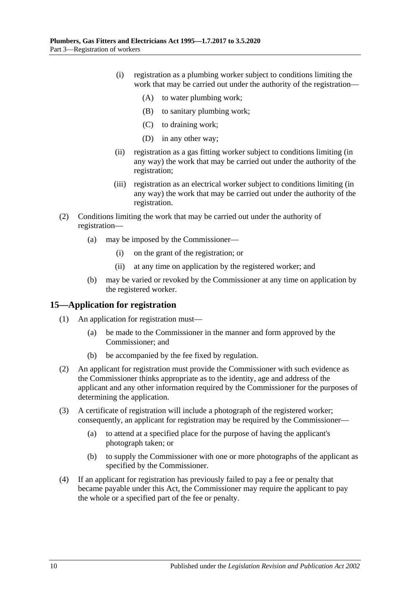- (i) registration as a plumbing worker subject to conditions limiting the work that may be carried out under the authority of the registration—
	- (A) to water plumbing work;
	- (B) to sanitary plumbing work;
	- (C) to draining work;
	- (D) in any other way;
- (ii) registration as a gas fitting worker subject to conditions limiting (in any way) the work that may be carried out under the authority of the registration;
- (iii) registration as an electrical worker subject to conditions limiting (in any way) the work that may be carried out under the authority of the registration.
- (2) Conditions limiting the work that may be carried out under the authority of registration—
	- (a) may be imposed by the Commissioner—
		- (i) on the grant of the registration; or
		- (ii) at any time on application by the registered worker; and
	- (b) may be varied or revoked by the Commissioner at any time on application by the registered worker.

### <span id="page-9-0"></span>**15—Application for registration**

- (1) An application for registration must—
	- (a) be made to the Commissioner in the manner and form approved by the Commissioner; and
	- (b) be accompanied by the fee fixed by regulation.
- (2) An applicant for registration must provide the Commissioner with such evidence as the Commissioner thinks appropriate as to the identity, age and address of the applicant and any other information required by the Commissioner for the purposes of determining the application.
- (3) A certificate of registration will include a photograph of the registered worker; consequently, an applicant for registration may be required by the Commissioner—
	- (a) to attend at a specified place for the purpose of having the applicant's photograph taken; or
	- (b) to supply the Commissioner with one or more photographs of the applicant as specified by the Commissioner.
- (4) If an applicant for registration has previously failed to pay a fee or penalty that became payable under this Act, the Commissioner may require the applicant to pay the whole or a specified part of the fee or penalty.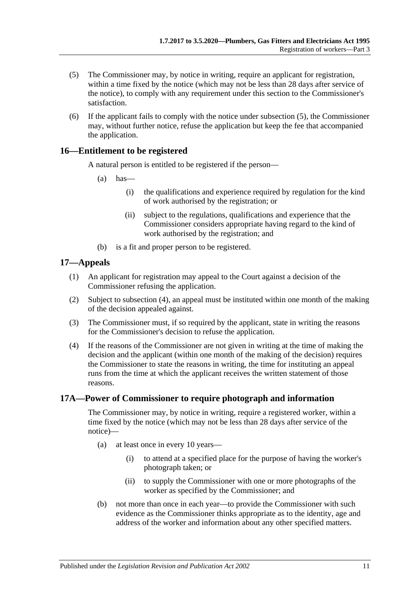- <span id="page-10-3"></span>(5) The Commissioner may, by notice in writing, require an applicant for registration, within a time fixed by the notice (which may not be less than 28 days after service of the notice), to comply with any requirement under this section to the Commissioner's satisfaction.
- (6) If the applicant fails to comply with the notice under [subsection](#page-10-3) (5), the Commissioner may, without further notice, refuse the application but keep the fee that accompanied the application.

#### <span id="page-10-0"></span>**16—Entitlement to be registered**

A natural person is entitled to be registered if the person—

- $(a)$  has—
	- (i) the qualifications and experience required by regulation for the kind of work authorised by the registration; or
	- (ii) subject to the regulations, qualifications and experience that the Commissioner considers appropriate having regard to the kind of work authorised by the registration; and
- (b) is a fit and proper person to be registered.

#### <span id="page-10-1"></span>**17—Appeals**

- (1) An applicant for registration may appeal to the Court against a decision of the Commissioner refusing the application.
- (2) Subject to [subsection](#page-10-4) (4), an appeal must be instituted within one month of the making of the decision appealed against.
- (3) The Commissioner must, if so required by the applicant, state in writing the reasons for the Commissioner's decision to refuse the application.
- <span id="page-10-4"></span>(4) If the reasons of the Commissioner are not given in writing at the time of making the decision and the applicant (within one month of the making of the decision) requires the Commissioner to state the reasons in writing, the time for instituting an appeal runs from the time at which the applicant receives the written statement of those reasons.

### <span id="page-10-2"></span>**17A—Power of Commissioner to require photograph and information**

The Commissioner may, by notice in writing, require a registered worker, within a time fixed by the notice (which may not be less than 28 days after service of the notice)—

- (a) at least once in every 10 years—
	- (i) to attend at a specified place for the purpose of having the worker's photograph taken; or
	- (ii) to supply the Commissioner with one or more photographs of the worker as specified by the Commissioner; and
- (b) not more than once in each year—to provide the Commissioner with such evidence as the Commissioner thinks appropriate as to the identity, age and address of the worker and information about any other specified matters.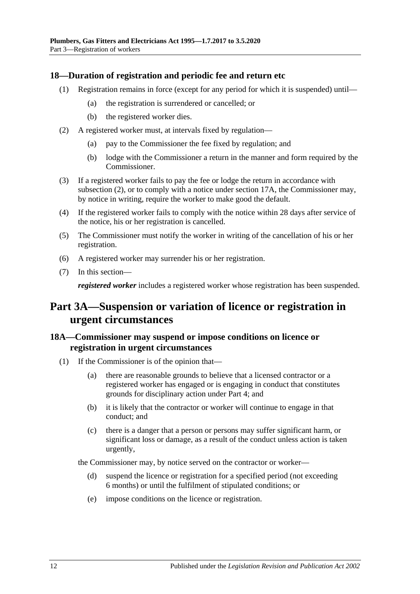### <span id="page-11-0"></span>**18—Duration of registration and periodic fee and return etc**

- (1) Registration remains in force (except for any period for which it is suspended) until—
	- (a) the registration is surrendered or cancelled; or
	- (b) the registered worker dies.
- <span id="page-11-3"></span>(2) A registered worker must, at intervals fixed by regulation—
	- (a) pay to the Commissioner the fee fixed by regulation; and
	- (b) lodge with the Commissioner a return in the manner and form required by the Commissioner.
- (3) If a registered worker fails to pay the fee or lodge the return in accordance with [subsection](#page-11-3) (2), or to comply with a notice under [section](#page-10-2) 17A, the Commissioner may, by notice in writing, require the worker to make good the default.
- (4) If the registered worker fails to comply with the notice within 28 days after service of the notice, his or her registration is cancelled.
- (5) The Commissioner must notify the worker in writing of the cancellation of his or her registration.
- (6) A registered worker may surrender his or her registration.
- (7) In this section—

*registered worker* includes a registered worker whose registration has been suspended.

## <span id="page-11-1"></span>**Part 3A—Suspension or variation of licence or registration in urgent circumstances**

## <span id="page-11-2"></span>**18A—Commissioner may suspend or impose conditions on licence or registration in urgent circumstances**

- (1) If the Commissioner is of the opinion that—
	- (a) there are reasonable grounds to believe that a licensed contractor or a registered worker has engaged or is engaging in conduct that constitutes grounds for disciplinary action under [Part 4;](#page-13-0) and
	- (b) it is likely that the contractor or worker will continue to engage in that conduct; and
	- (c) there is a danger that a person or persons may suffer significant harm, or significant loss or damage, as a result of the conduct unless action is taken urgently,

the Commissioner may, by notice served on the contractor or worker—

- (d) suspend the licence or registration for a specified period (not exceeding 6 months) or until the fulfilment of stipulated conditions; or
- (e) impose conditions on the licence or registration.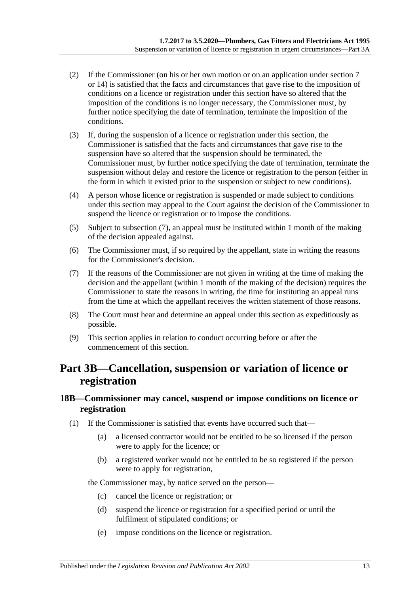- (2) If the Commissioner (on his or her own motion or on an application under [section](#page-4-0) 7 or [14\)](#page-8-3) is satisfied that the facts and circumstances that gave rise to the imposition of conditions on a licence or registration under this section have so altered that the imposition of the conditions is no longer necessary, the Commissioner must, by further notice specifying the date of termination, terminate the imposition of the conditions.
- (3) If, during the suspension of a licence or registration under this section, the Commissioner is satisfied that the facts and circumstances that gave rise to the suspension have so altered that the suspension should be terminated, the Commissioner must, by further notice specifying the date of termination, terminate the suspension without delay and restore the licence or registration to the person (either in the form in which it existed prior to the suspension or subject to new conditions).
- (4) A person whose licence or registration is suspended or made subject to conditions under this section may appeal to the Court against the decision of the Commissioner to suspend the licence or registration or to impose the conditions.
- (5) Subject to [subsection](#page-12-2) (7), an appeal must be instituted within 1 month of the making of the decision appealed against.
- (6) The Commissioner must, if so required by the appellant, state in writing the reasons for the Commissioner's decision.
- <span id="page-12-2"></span>(7) If the reasons of the Commissioner are not given in writing at the time of making the decision and the appellant (within 1 month of the making of the decision) requires the Commissioner to state the reasons in writing, the time for instituting an appeal runs from the time at which the appellant receives the written statement of those reasons.
- (8) The Court must hear and determine an appeal under this section as expeditiously as possible.
- (9) This section applies in relation to conduct occurring before or after the commencement of this section.

## <span id="page-12-0"></span>**Part 3B—Cancellation, suspension or variation of licence or registration**

## <span id="page-12-1"></span>**18B—Commissioner may cancel, suspend or impose conditions on licence or registration**

- (1) If the Commissioner is satisfied that events have occurred such that—
	- (a) a licensed contractor would not be entitled to be so licensed if the person were to apply for the licence; or
	- (b) a registered worker would not be entitled to be so registered if the person were to apply for registration,

the Commissioner may, by notice served on the person—

- (c) cancel the licence or registration; or
- (d) suspend the licence or registration for a specified period or until the fulfilment of stipulated conditions; or
- (e) impose conditions on the licence or registration.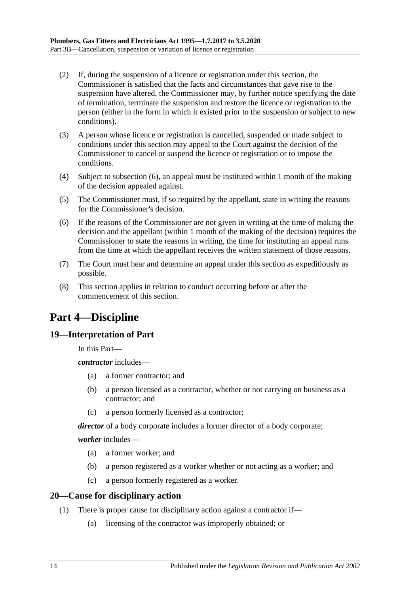- (2) If, during the suspension of a licence or registration under this section, the Commissioner is satisfied that the facts and circumstances that gave rise to the suspension have altered, the Commissioner may, by further notice specifying the date of termination, terminate the suspension and restore the licence or registration to the person (either in the form in which it existed prior to the suspension or subject to new conditions).
- (3) A person whose licence or registration is cancelled, suspended or made subject to conditions under this section may appeal to the Court against the decision of the Commissioner to cancel or suspend the licence or registration or to impose the conditions.
- (4) Subject to [subsection](#page-13-3) (6), an appeal must be instituted within 1 month of the making of the decision appealed against.
- (5) The Commissioner must, if so required by the appellant, state in writing the reasons for the Commissioner's decision.
- <span id="page-13-3"></span>(6) If the reasons of the Commissioner are not given in writing at the time of making the decision and the appellant (within 1 month of the making of the decision) requires the Commissioner to state the reasons in writing, the time for instituting an appeal runs from the time at which the appellant receives the written statement of those reasons.
- (7) The Court must hear and determine an appeal under this section as expeditiously as possible.
- (8) This section applies in relation to conduct occurring before or after the commencement of this section.

## <span id="page-13-0"></span>**Part 4—Discipline**

## <span id="page-13-1"></span>**19—Interpretation of Part**

In this Part—

*contractor* includes—

- (a) a former contractor; and
- (b) a person licensed as a contractor, whether or not carrying on business as a contractor; and
- (c) a person formerly licensed as a contractor;

*director* of a body corporate includes a former director of a body corporate;

*worker* includes—

- (a) a former worker; and
- (b) a person registered as a worker whether or not acting as a worker; and
- (c) a person formerly registered as a worker.

### <span id="page-13-2"></span>**20—Cause for disciplinary action**

- (1) There is proper cause for disciplinary action against a contractor if—
	- (a) licensing of the contractor was improperly obtained; or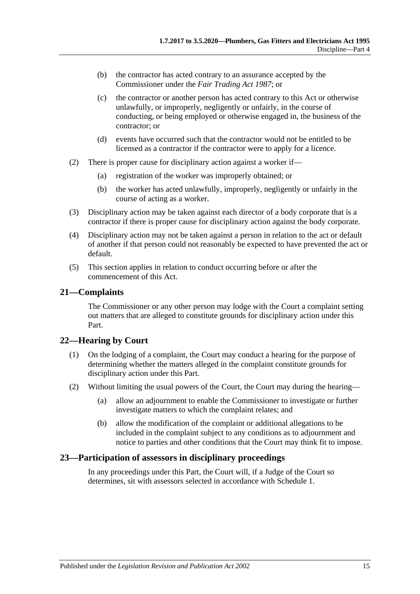- (b) the contractor has acted contrary to an assurance accepted by the Commissioner under the *[Fair Trading Act](http://www.legislation.sa.gov.au/index.aspx?action=legref&type=act&legtitle=Fair%20Trading%20Act%201987) 1987*; or
- (c) the contractor or another person has acted contrary to this Act or otherwise unlawfully, or improperly, negligently or unfairly, in the course of conducting, or being employed or otherwise engaged in, the business of the contractor; or
- (d) events have occurred such that the contractor would not be entitled to be licensed as a contractor if the contractor were to apply for a licence.
- (2) There is proper cause for disciplinary action against a worker if—
	- (a) registration of the worker was improperly obtained; or
	- (b) the worker has acted unlawfully, improperly, negligently or unfairly in the course of acting as a worker.
- (3) Disciplinary action may be taken against each director of a body corporate that is a contractor if there is proper cause for disciplinary action against the body corporate.
- (4) Disciplinary action may not be taken against a person in relation to the act or default of another if that person could not reasonably be expected to have prevented the act or default.
- (5) This section applies in relation to conduct occurring before or after the commencement of this Act.

#### <span id="page-14-0"></span>**21—Complaints**

The Commissioner or any other person may lodge with the Court a complaint setting out matters that are alleged to constitute grounds for disciplinary action under this Part.

### <span id="page-14-1"></span>**22—Hearing by Court**

- (1) On the lodging of a complaint, the Court may conduct a hearing for the purpose of determining whether the matters alleged in the complaint constitute grounds for disciplinary action under this Part.
- (2) Without limiting the usual powers of the Court, the Court may during the hearing—
	- (a) allow an adjournment to enable the Commissioner to investigate or further investigate matters to which the complaint relates; and
	- (b) allow the modification of the complaint or additional allegations to be included in the complaint subject to any conditions as to adjournment and notice to parties and other conditions that the Court may think fit to impose.

#### <span id="page-14-2"></span>**23—Participation of assessors in disciplinary proceedings**

In any proceedings under this Part, the Court will, if a Judge of the Court so determines, sit with assessors selected in accordance with [Schedule 1.](#page-22-0)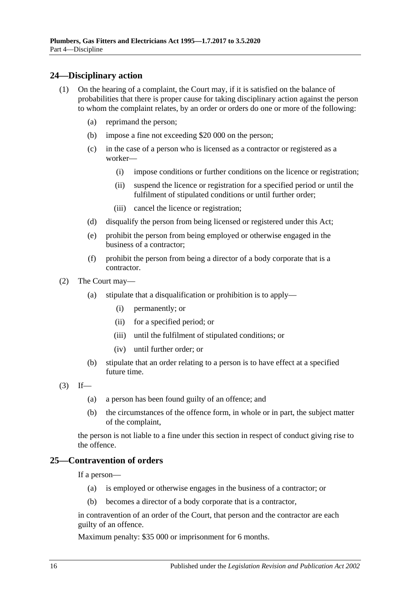### <span id="page-15-0"></span>**24—Disciplinary action**

- (1) On the hearing of a complaint, the Court may, if it is satisfied on the balance of probabilities that there is proper cause for taking disciplinary action against the person to whom the complaint relates, by an order or orders do one or more of the following:
	- (a) reprimand the person;
	- (b) impose a fine not exceeding \$20 000 on the person;
	- (c) in the case of a person who is licensed as a contractor or registered as a worker—
		- (i) impose conditions or further conditions on the licence or registration;
		- (ii) suspend the licence or registration for a specified period or until the fulfilment of stipulated conditions or until further order;
		- (iii) cancel the licence or registration;
	- (d) disqualify the person from being licensed or registered under this Act;
	- (e) prohibit the person from being employed or otherwise engaged in the business of a contractor;
	- (f) prohibit the person from being a director of a body corporate that is a contractor.
- (2) The Court may—
	- (a) stipulate that a disqualification or prohibition is to apply—
		- (i) permanently; or
		- (ii) for a specified period; or
		- (iii) until the fulfilment of stipulated conditions; or
		- (iv) until further order; or
	- (b) stipulate that an order relating to a person is to have effect at a specified future time.
- $(3)$  If—
	- (a) a person has been found guilty of an offence; and
	- (b) the circumstances of the offence form, in whole or in part, the subject matter of the complaint,

the person is not liable to a fine under this section in respect of conduct giving rise to the offence.

## <span id="page-15-1"></span>**25—Contravention of orders**

If a person—

- (a) is employed or otherwise engages in the business of a contractor; or
- (b) becomes a director of a body corporate that is a contractor,

in contravention of an order of the Court, that person and the contractor are each guilty of an offence.

Maximum penalty: \$35 000 or imprisonment for 6 months.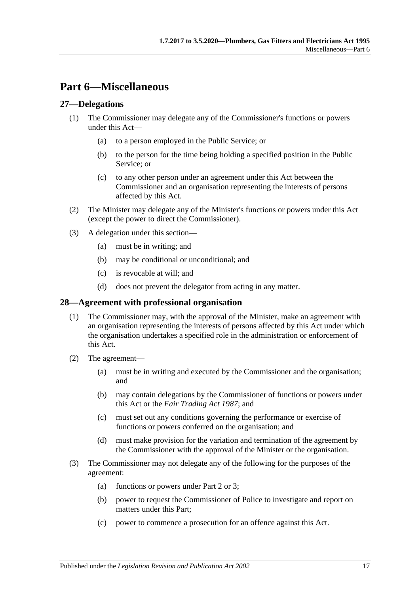## <span id="page-16-0"></span>**Part 6—Miscellaneous**

## <span id="page-16-1"></span>**27—Delegations**

- (1) The Commissioner may delegate any of the Commissioner's functions or powers under this Act—
	- (a) to a person employed in the Public Service; or
	- (b) to the person for the time being holding a specified position in the Public Service; or
	- (c) to any other person under an agreement under this Act between the Commissioner and an organisation representing the interests of persons affected by this Act.
- (2) The Minister may delegate any of the Minister's functions or powers under this Act (except the power to direct the Commissioner).
- (3) A delegation under this section—
	- (a) must be in writing; and
	- (b) may be conditional or unconditional; and
	- (c) is revocable at will; and
	- (d) does not prevent the delegator from acting in any matter.

### <span id="page-16-2"></span>**28—Agreement with professional organisation**

- (1) The Commissioner may, with the approval of the Minister, make an agreement with an organisation representing the interests of persons affected by this Act under which the organisation undertakes a specified role in the administration or enforcement of this Act.
- (2) The agreement—
	- (a) must be in writing and executed by the Commissioner and the organisation; and
	- (b) may contain delegations by the Commissioner of functions or powers under this Act or the *[Fair Trading Act](http://www.legislation.sa.gov.au/index.aspx?action=legref&type=act&legtitle=Fair%20Trading%20Act%201987) 1987*; and
	- (c) must set out any conditions governing the performance or exercise of functions or powers conferred on the organisation; and
	- (d) must make provision for the variation and termination of the agreement by the Commissioner with the approval of the Minister or the organisation.
- (3) The Commissioner may not delegate any of the following for the purposes of the agreement:
	- (a) functions or powers under [Part 2](#page-3-2) or [3;](#page-8-1)
	- (b) power to request the Commissioner of Police to investigate and report on matters under this Part;
	- (c) power to commence a prosecution for an offence against this Act.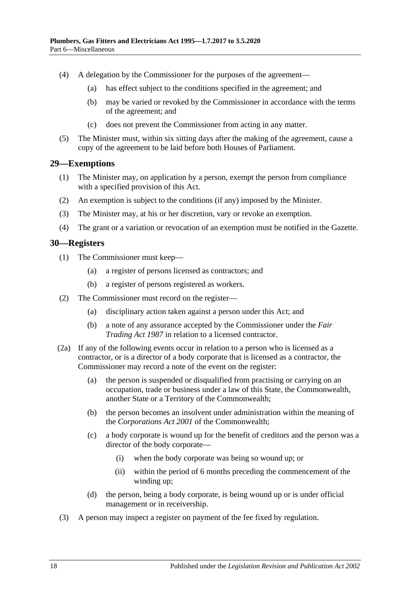- (4) A delegation by the Commissioner for the purposes of the agreement—
	- (a) has effect subject to the conditions specified in the agreement; and
	- (b) may be varied or revoked by the Commissioner in accordance with the terms of the agreement; and
	- (c) does not prevent the Commissioner from acting in any matter.
- (5) The Minister must, within six sitting days after the making of the agreement, cause a copy of the agreement to be laid before both Houses of Parliament.

#### <span id="page-17-0"></span>**29—Exemptions**

- (1) The Minister may, on application by a person, exempt the person from compliance with a specified provision of this Act.
- (2) An exemption is subject to the conditions (if any) imposed by the Minister.
- (3) The Minister may, at his or her discretion, vary or revoke an exemption.
- (4) The grant or a variation or revocation of an exemption must be notified in the Gazette.

#### <span id="page-17-1"></span>**30—Registers**

- (1) The Commissioner must keep—
	- (a) a register of persons licensed as contractors; and
	- (b) a register of persons registered as workers.
- (2) The Commissioner must record on the register—
	- (a) disciplinary action taken against a person under this Act; and
	- (b) a note of any assurance accepted by the Commissioner under the *[Fair](http://www.legislation.sa.gov.au/index.aspx?action=legref&type=act&legtitle=Fair%20Trading%20Act%201987)  [Trading Act](http://www.legislation.sa.gov.au/index.aspx?action=legref&type=act&legtitle=Fair%20Trading%20Act%201987) 1987* in relation to a licensed contractor.
- (2a) If any of the following events occur in relation to a person who is licensed as a contractor, or is a director of a body corporate that is licensed as a contractor, the Commissioner may record a note of the event on the register:
	- (a) the person is suspended or disqualified from practising or carrying on an occupation, trade or business under a law of this State, the Commonwealth, another State or a Territory of the Commonwealth;
	- (b) the person becomes an insolvent under administration within the meaning of the *Corporations Act 2001* of the Commonwealth;
	- (c) a body corporate is wound up for the benefit of creditors and the person was a director of the body corporate—
		- (i) when the body corporate was being so wound up; or
		- (ii) within the period of 6 months preceding the commencement of the winding up;
	- (d) the person, being a body corporate, is being wound up or is under official management or in receivership.
- (3) A person may inspect a register on payment of the fee fixed by regulation.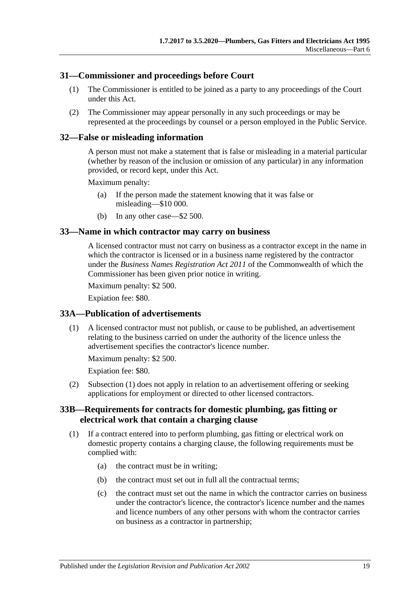### <span id="page-18-0"></span>**31—Commissioner and proceedings before Court**

- (1) The Commissioner is entitled to be joined as a party to any proceedings of the Court under this Act.
- (2) The Commissioner may appear personally in any such proceedings or may be represented at the proceedings by counsel or a person employed in the Public Service.

#### <span id="page-18-1"></span>**32—False or misleading information**

A person must not make a statement that is false or misleading in a material particular (whether by reason of the inclusion or omission of any particular) in any information provided, or record kept, under this Act.

Maximum penalty:

- (a) If the person made the statement knowing that it was false or misleading—\$10 000.
- (b) In any other case—\$2 500.

#### <span id="page-18-2"></span>**33—Name in which contractor may carry on business**

A licensed contractor must not carry on business as a contractor except in the name in which the contractor is licensed or in a business name registered by the contractor under the *Business Names Registration Act 2011* of the Commonwealth of which the Commissioner has been given prior notice in writing.

Maximum penalty: \$2 500.

Expiation fee: \$80.

#### <span id="page-18-5"></span><span id="page-18-3"></span>**33A—Publication of advertisements**

(1) A licensed contractor must not publish, or cause to be published, an advertisement relating to the business carried on under the authority of the licence unless the advertisement specifies the contractor's licence number.

Maximum penalty: \$2 500.

Expiation fee: \$80.

(2) [Subsection](#page-18-5) (1) does not apply in relation to an advertisement offering or seeking applications for employment or directed to other licensed contractors.

### <span id="page-18-4"></span>**33B—Requirements for contracts for domestic plumbing, gas fitting or electrical work that contain a charging clause**

- <span id="page-18-6"></span>(1) If a contract entered into to perform plumbing, gas fitting or electrical work on domestic property contains a charging clause, the following requirements must be complied with:
	- (a) the contract must be in writing;
	- (b) the contract must set out in full all the contractual terms;
	- (c) the contract must set out the name in which the contractor carries on business under the contractor's licence, the contractor's licence number and the names and licence numbers of any other persons with whom the contractor carries on business as a contractor in partnership;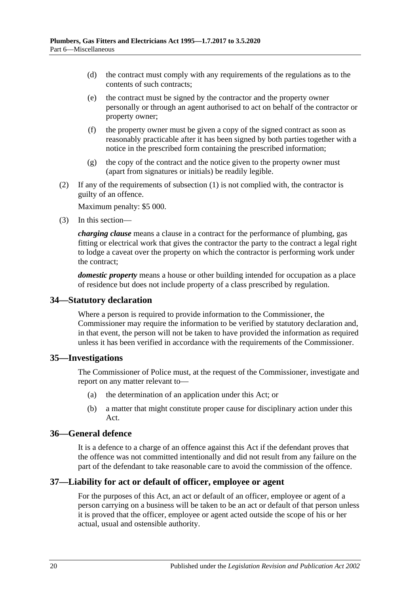- (d) the contract must comply with any requirements of the regulations as to the contents of such contracts;
- (e) the contract must be signed by the contractor and the property owner personally or through an agent authorised to act on behalf of the contractor or property owner;
- (f) the property owner must be given a copy of the signed contract as soon as reasonably practicable after it has been signed by both parties together with a notice in the prescribed form containing the prescribed information;
- (g) the copy of the contract and the notice given to the property owner must (apart from signatures or initials) be readily legible.
- (2) If any of the requirements of [subsection](#page-18-6) (1) is not complied with, the contractor is guilty of an offence.

Maximum penalty: \$5 000.

(3) In this section—

*charging clause* means a clause in a contract for the performance of plumbing, gas fitting or electrical work that gives the contractor the party to the contract a legal right to lodge a caveat over the property on which the contractor is performing work under the contract;

*domestic property* means a house or other building intended for occupation as a place of residence but does not include property of a class prescribed by regulation.

### <span id="page-19-0"></span>**34—Statutory declaration**

Where a person is required to provide information to the Commissioner, the Commissioner may require the information to be verified by statutory declaration and, in that event, the person will not be taken to have provided the information as required unless it has been verified in accordance with the requirements of the Commissioner.

#### <span id="page-19-1"></span>**35—Investigations**

The Commissioner of Police must, at the request of the Commissioner, investigate and report on any matter relevant to—

- (a) the determination of an application under this Act; or
- (b) a matter that might constitute proper cause for disciplinary action under this Act.

#### <span id="page-19-2"></span>**36—General defence**

It is a defence to a charge of an offence against this Act if the defendant proves that the offence was not committed intentionally and did not result from any failure on the part of the defendant to take reasonable care to avoid the commission of the offence.

### <span id="page-19-3"></span>**37—Liability for act or default of officer, employee or agent**

For the purposes of this Act, an act or default of an officer, employee or agent of a person carrying on a business will be taken to be an act or default of that person unless it is proved that the officer, employee or agent acted outside the scope of his or her actual, usual and ostensible authority.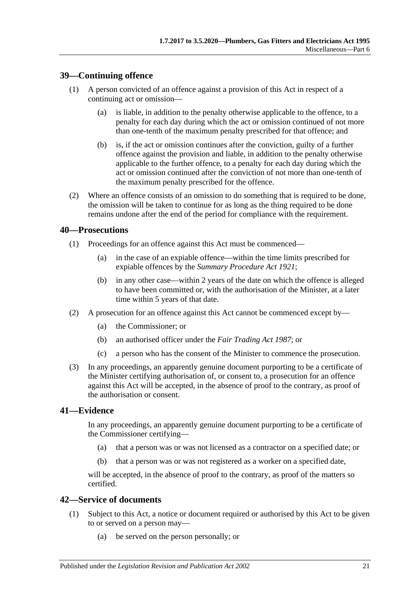### <span id="page-20-0"></span>**39—Continuing offence**

- (1) A person convicted of an offence against a provision of this Act in respect of a continuing act or omission—
	- (a) is liable, in addition to the penalty otherwise applicable to the offence, to a penalty for each day during which the act or omission continued of not more than one-tenth of the maximum penalty prescribed for that offence; and
	- (b) is, if the act or omission continues after the conviction, guilty of a further offence against the provision and liable, in addition to the penalty otherwise applicable to the further offence, to a penalty for each day during which the act or omission continued after the conviction of not more than one-tenth of the maximum penalty prescribed for the offence.
- (2) Where an offence consists of an omission to do something that is required to be done, the omission will be taken to continue for as long as the thing required to be done remains undone after the end of the period for compliance with the requirement.

#### <span id="page-20-1"></span>**40—Prosecutions**

- (1) Proceedings for an offence against this Act must be commenced—
	- (a) in the case of an expiable offence—within the time limits prescribed for expiable offences by the *[Summary Procedure Act](http://www.legislation.sa.gov.au/index.aspx?action=legref&type=act&legtitle=Summary%20Procedure%20Act%201921) 1921*;
	- (b) in any other case—within 2 years of the date on which the offence is alleged to have been committed or, with the authorisation of the Minister, at a later time within 5 years of that date.
- (2) A prosecution for an offence against this Act cannot be commenced except by—
	- (a) the Commissioner; or
	- (b) an authorised officer under the *[Fair Trading Act](http://www.legislation.sa.gov.au/index.aspx?action=legref&type=act&legtitle=Fair%20Trading%20Act%201987) 1987*; or
	- (c) a person who has the consent of the Minister to commence the prosecution.
- (3) In any proceedings, an apparently genuine document purporting to be a certificate of the Minister certifying authorisation of, or consent to, a prosecution for an offence against this Act will be accepted, in the absence of proof to the contrary, as proof of the authorisation or consent.

### <span id="page-20-2"></span>**41—Evidence**

In any proceedings, an apparently genuine document purporting to be a certificate of the Commissioner certifying—

- (a) that a person was or was not licensed as a contractor on a specified date; or
- (b) that a person was or was not registered as a worker on a specified date,

will be accepted, in the absence of proof to the contrary, as proof of the matters so certified.

### <span id="page-20-3"></span>**42—Service of documents**

- (1) Subject to this Act, a notice or document required or authorised by this Act to be given to or served on a person may—
	- (a) be served on the person personally; or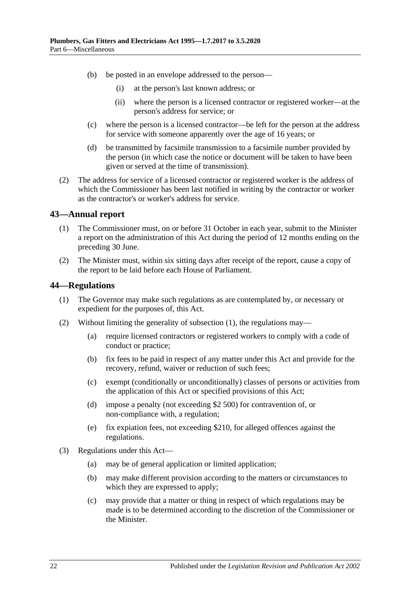- (b) be posted in an envelope addressed to the person—
	- (i) at the person's last known address; or
	- (ii) where the person is a licensed contractor or registered worker—at the person's address for service; or
- (c) where the person is a licensed contractor—be left for the person at the address for service with someone apparently over the age of 16 years; or
- (d) be transmitted by facsimile transmission to a facsimile number provided by the person (in which case the notice or document will be taken to have been given or served at the time of transmission).
- (2) The address for service of a licensed contractor or registered worker is the address of which the Commissioner has been last notified in writing by the contractor or worker as the contractor's or worker's address for service.

### <span id="page-21-0"></span>**43—Annual report**

- (1) The Commissioner must, on or before 31 October in each year, submit to the Minister a report on the administration of this Act during the period of 12 months ending on the preceding 30 June.
- (2) The Minister must, within six sitting days after receipt of the report, cause a copy of the report to be laid before each House of Parliament.

#### <span id="page-21-2"></span><span id="page-21-1"></span>**44—Regulations**

- (1) The Governor may make such regulations as are contemplated by, or necessary or expedient for the purposes of, this Act.
- (2) Without limiting the generality of [subsection](#page-21-2) (1), the regulations may—
	- (a) require licensed contractors or registered workers to comply with a code of conduct or practice;
	- (b) fix fees to be paid in respect of any matter under this Act and provide for the recovery, refund, waiver or reduction of such fees;
	- (c) exempt (conditionally or unconditionally) classes of persons or activities from the application of this Act or specified provisions of this Act;
	- (d) impose a penalty (not exceeding \$2 500) for contravention of, or non-compliance with, a regulation;
	- (e) fix expiation fees, not exceeding \$210, for alleged offences against the regulations.
- (3) Regulations under this Act—
	- (a) may be of general application or limited application;
	- (b) may make different provision according to the matters or circumstances to which they are expressed to apply;
	- (c) may provide that a matter or thing in respect of which regulations may be made is to be determined according to the discretion of the Commissioner or the Minister.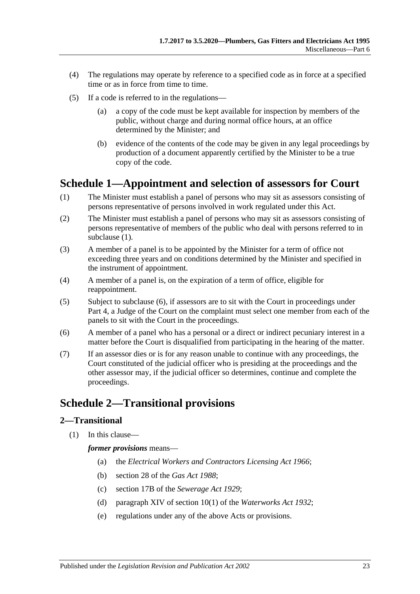- (4) The regulations may operate by reference to a specified code as in force at a specified time or as in force from time to time.
- (5) If a code is referred to in the regulations—
	- (a) a copy of the code must be kept available for inspection by members of the public, without charge and during normal office hours, at an office determined by the Minister; and
	- (b) evidence of the contents of the code may be given in any legal proceedings by production of a document apparently certified by the Minister to be a true copy of the code.

## <span id="page-22-0"></span>**Schedule 1—Appointment and selection of assessors for Court**

- <span id="page-22-3"></span>(1) The Minister must establish a panel of persons who may sit as assessors consisting of persons representative of persons involved in work regulated under this Act.
- (2) The Minister must establish a panel of persons who may sit as assessors consisting of persons representative of members of the public who deal with persons referred to in [subclause](#page-22-3) (1).
- (3) A member of a panel is to be appointed by the Minister for a term of office not exceeding three years and on conditions determined by the Minister and specified in the instrument of appointment.
- (4) A member of a panel is, on the expiration of a term of office, eligible for reappointment.
- (5) Subject to [subclause](#page-22-4) (6), if assessors are to sit with the Court in proceedings under [Part 4,](#page-13-0) a Judge of the Court on the complaint must select one member from each of the panels to sit with the Court in the proceedings.
- <span id="page-22-4"></span>(6) A member of a panel who has a personal or a direct or indirect pecuniary interest in a matter before the Court is disqualified from participating in the hearing of the matter.
- (7) If an assessor dies or is for any reason unable to continue with any proceedings, the Court constituted of the judicial officer who is presiding at the proceedings and the other assessor may, if the judicial officer so determines, continue and complete the proceedings.

## <span id="page-22-1"></span>**Schedule 2—Transitional provisions**

### <span id="page-22-2"></span>**2—Transitional**

(1) In this clause—

#### *former provisions* means—

- (a) the *[Electrical Workers and Contractors Licensing Act](http://www.legislation.sa.gov.au/index.aspx?action=legref&type=act&legtitle=Electrical%20Workers%20and%20Contractors%20Licensing%20Act%201966) 1966*;
- (b) section 28 of the *[Gas Act](http://www.legislation.sa.gov.au/index.aspx?action=legref&type=act&legtitle=Gas%20Act%201988) 1988*;
- (c) section 17B of the *[Sewerage Act](http://www.legislation.sa.gov.au/index.aspx?action=legref&type=act&legtitle=Sewerage%20Act%201929) 1929*;
- (d) paragraph XIV of section 10(1) of the *[Waterworks Act](http://www.legislation.sa.gov.au/index.aspx?action=legref&type=act&legtitle=Waterworks%20Act%201932) 1932*;
- (e) regulations under any of the above Acts or provisions.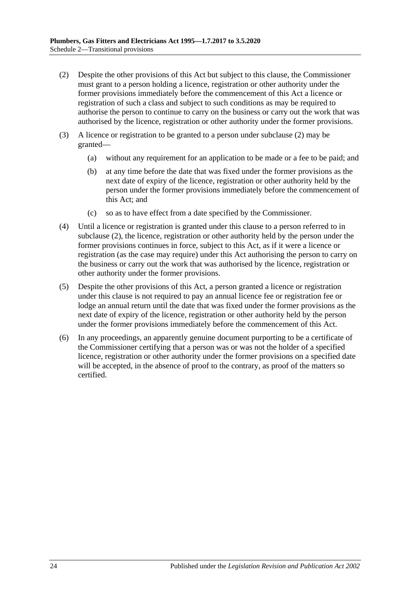- <span id="page-23-0"></span>(2) Despite the other provisions of this Act but subject to this clause, the Commissioner must grant to a person holding a licence, registration or other authority under the former provisions immediately before the commencement of this Act a licence or registration of such a class and subject to such conditions as may be required to authorise the person to continue to carry on the business or carry out the work that was authorised by the licence, registration or other authority under the former provisions.
- (3) A licence or registration to be granted to a person under [subclause](#page-23-0) (2) may be granted—
	- (a) without any requirement for an application to be made or a fee to be paid; and
	- (b) at any time before the date that was fixed under the former provisions as the next date of expiry of the licence, registration or other authority held by the person under the former provisions immediately before the commencement of this Act; and
	- (c) so as to have effect from a date specified by the Commissioner.
- (4) Until a licence or registration is granted under this clause to a person referred to in [subclause](#page-23-0) (2), the licence, registration or other authority held by the person under the former provisions continues in force, subject to this Act, as if it were a licence or registration (as the case may require) under this Act authorising the person to carry on the business or carry out the work that was authorised by the licence, registration or other authority under the former provisions.
- (5) Despite the other provisions of this Act, a person granted a licence or registration under this clause is not required to pay an annual licence fee or registration fee or lodge an annual return until the date that was fixed under the former provisions as the next date of expiry of the licence, registration or other authority held by the person under the former provisions immediately before the commencement of this Act.
- (6) In any proceedings, an apparently genuine document purporting to be a certificate of the Commissioner certifying that a person was or was not the holder of a specified licence, registration or other authority under the former provisions on a specified date will be accepted, in the absence of proof to the contrary, as proof of the matters so certified.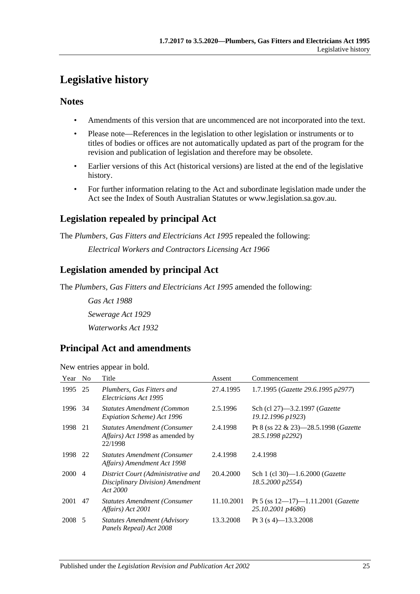## <span id="page-24-0"></span>**Legislative history**

## **Notes**

- Amendments of this version that are uncommenced are not incorporated into the text.
- Please note—References in the legislation to other legislation or instruments or to titles of bodies or offices are not automatically updated as part of the program for the revision and publication of legislation and therefore may be obsolete.
- Earlier versions of this Act (historical versions) are listed at the end of the legislative history.
- For further information relating to the Act and subordinate legislation made under the Act see the Index of South Australian Statutes or www.legislation.sa.gov.au.

## **Legislation repealed by principal Act**

The *Plumbers, Gas Fitters and Electricians Act 1995* repealed the following:

*Electrical Workers and Contractors Licensing Act 1966*

## **Legislation amended by principal Act**

The *Plumbers, Gas Fitters and Electricians Act 1995* amended the following:

*Gas Act 1988 Sewerage Act 1929 Waterworks Act 1932*

## **Principal Act and amendments**

New entries appear in bold.

| Year        | No             | Title                                                                                             | Assent     | Commencement                                                         |
|-------------|----------------|---------------------------------------------------------------------------------------------------|------------|----------------------------------------------------------------------|
| 1995        | 25             | Plumbers, Gas Fitters and<br>Electricians Act 1995                                                | 27.4.1995  | 1.7.1995 (Gazette 29.6.1995 p2977)                                   |
| 1996        | 34             | <b>Statutes Amendment (Common</b><br>Expiation Scheme) Act 1996                                   | 2.5.1996   | Sch (cl 27)–3.2.1997 ( <i>Gazette</i><br>19.12.1996 p1923)           |
| 1998        | 21             | <b>Statutes Amendment (Consumer)</b><br><i>Affairs</i> ) <i>Act 1998</i> as amended by<br>22/1998 | 2.4.1998   | Pt 8 (ss $22 \& 23$ )-28.5.1998 ( <i>Gazette</i><br>28.5.1998 p2292) |
| 1998        | 22             | <b>Statutes Amendment (Consumer</b><br>Affairs) Amendment Act 1998                                | 2.4.1998   | 2.4.1998                                                             |
| <b>2000</b> | $\overline{4}$ | District Court (Administrative and<br>Disciplinary Division) Amendment<br>Act 2000                | 20.4.2000  | Sch 1 (cl 30)-1.6.2000 ( <i>Gazette</i><br>18.5.2000 p2554)          |
| 2001        | 47             | <b>Statutes Amendment (Consumer)</b><br>Affairs) Act 2001                                         | 11.10.2001 | Pt 5 (ss $12-17$ )-1.11.2001 ( <i>Gazette</i><br>25.10.2001 p4686)   |
| 2008 5      |                | <b>Statutes Amendment (Advisory</b><br>Panels Repeal) Act 2008                                    | 13.3.2008  | Pt 3 (s 4)–13.3.2008                                                 |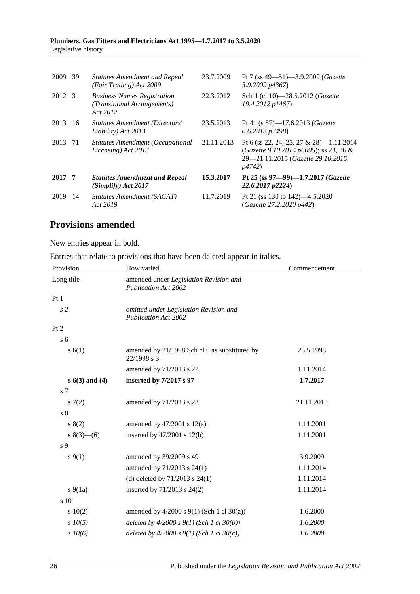#### **Plumbers, Gas Fitters and Electricians Act 1995—1.7.2017 to 3.5.2020** Legislative history

| 2009   | 39 | <b>Statutes Amendment and Repeal</b><br>(Fair Trading) Act 2009               | 23.7.2009  | Pt 7 (ss $49 - 51$ ) $-3.9.2009$ ( <i>Gazette</i><br>$3.9.2009$ $p4367$                                                         |
|--------|----|-------------------------------------------------------------------------------|------------|---------------------------------------------------------------------------------------------------------------------------------|
| 2012 3 |    | <b>Business Names Registration</b><br>(Transitional Arrangements)<br>Act 2012 | 22.3.2012  | Sch 1 (cl 10)—28.5.2012 ( <i>Gazette</i><br>19.4.2012 p1467)                                                                    |
| 2013   | 16 | <b>Statutes Amendment (Directors'</b><br>Liability) Act 2013                  | 23.5.2013  | Pt 41 (s $87$ )-17.6.2013 ( <i>Gazette</i><br>$(6.6.2013 \text{ p}2498)$                                                        |
| 2013   | 71 | Statutes Amendment (Occupational<br>Licensing) Act 2013                       | 21.11.2013 | Pt 6 (ss 22, 24, 25, 27 & 28)-1.11.2014<br>(Gazette 9.10.2014 p6095); ss 23, 26 &<br>29-21.11.2015 (Gazette 29.10.2015<br>p4742 |
| 2017 7 |    | <b>Statutes Amendment and Repeal</b><br>(Simplify) Act 2017                   | 15.3.2017  | Pt 25 (ss $97 - 99$ )-1.7.2017 (Gazette<br>22.6.2017 p2224)                                                                     |
| 2019   | 14 | Statutes Amendment (SACAT)<br>Act 2019                                        | 11.7.2019  | Pt 21 (ss 130 to 142)—4.5.2020<br>(Gazette 27.2.2020 p442)                                                                      |

## **Provisions amended**

New entries appear in bold.

Entries that relate to provisions that have been deleted appear in italics.

| Provision      | How varied                                                            | Commencement |  |
|----------------|-----------------------------------------------------------------------|--------------|--|
| Long title     | amended under Legislation Revision and<br><b>Publication Act 2002</b> |              |  |
| Pt1            |                                                                       |              |  |
| s <sub>2</sub> | omitted under Legislation Revision and<br><b>Publication Act 2002</b> |              |  |
| Pt 2           |                                                                       |              |  |
| s <sub>6</sub> |                                                                       |              |  |
| s(6(1))        | amended by 21/1998 Sch cl 6 as substituted by<br>22/1998 s 3          | 28.5.1998    |  |
|                | amended by 71/2013 s 22                                               | 1.11.2014    |  |
| $s(3)$ and (4) | inserted by 7/2017 s 97                                               | 1.7.2017     |  |
| s <sub>7</sub> |                                                                       |              |  |
| 57(2)          | amended by 71/2013 s 23                                               | 21.11.2015   |  |
| $\sqrt{s}$ 8   |                                                                       |              |  |
| s(2)           | amended by $47/2001$ s $12(a)$                                        | 1.11.2001    |  |
| $8(3)$ – (6)   | inserted by $47/2001$ s $12(b)$                                       | 1.11.2001    |  |
| s 9            |                                                                       |              |  |
| $s \, 9(1)$    | amended by 39/2009 s 49                                               | 3.9.2009     |  |
|                | amended by 71/2013 s 24(1)                                            | 1.11.2014    |  |
|                | (d) deleted by $71/2013$ s $24(1)$                                    | 1.11.2014    |  |
| $s\ 9(1a)$     | inserted by 71/2013 s 24(2)                                           | 1.11.2014    |  |
| s 10           |                                                                       |              |  |
| 10(2)          | amended by $4/2000$ s $9(1)$ (Sch 1 cl 30(a))                         | 1.6.2000     |  |
| $s$ 10(5)      | deleted by $4/2000 s 9(1)$ (Sch 1 cl 30(b))                           | 1.6.2000     |  |
| $s$ $10(6)$    | deleted by $4/2000 s 9(1)$ (Sch 1 cl 30(c))                           | 1.6.2000     |  |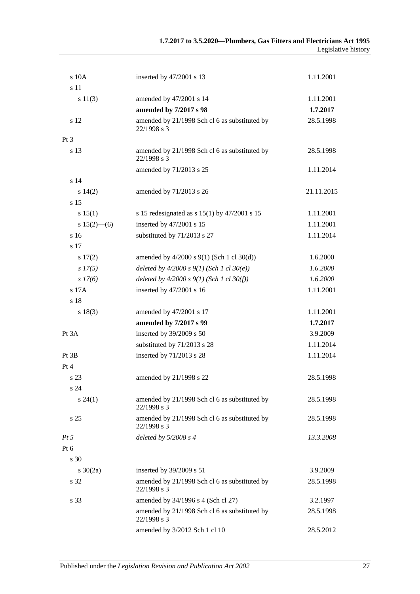| s 10A           | inserted by 47/2001 s 13                                     | 1.11.2001  |
|-----------------|--------------------------------------------------------------|------------|
| s 11            |                                                              |            |
| s 11(3)         | amended by 47/2001 s 14                                      | 1.11.2001  |
|                 | amended by 7/2017 s 98                                       | 1.7.2017   |
| s 12            | amended by 21/1998 Sch cl 6 as substituted by<br>22/1998 s 3 | 28.5.1998  |
| Pt 3            |                                                              |            |
| s 13            | amended by 21/1998 Sch cl 6 as substituted by<br>22/1998 s 3 | 28.5.1998  |
|                 | amended by 71/2013 s 25                                      | 1.11.2014  |
| s <sub>14</sub> |                                                              |            |
| s 14(2)         | amended by 71/2013 s 26                                      | 21.11.2015 |
| s 15            |                                                              |            |
| s 15(1)         | s 15 redesignated as s $15(1)$ by $47/2001$ s 15             | 1.11.2001  |
| $s 15(2)$ - (6) | inserted by 47/2001 s 15                                     | 1.11.2001  |
| s 16            | substituted by 71/2013 s 27                                  | 1.11.2014  |
| s 17            |                                                              |            |
| 17(2)           | amended by $4/2000$ s $9(1)$ (Sch 1 cl $30(d)$ )             | 1.6.2000   |
| $s\,17(5)$      | deleted by $4/2000 s 9(1)$ (Sch 1 cl 30(e))                  | 1.6.2000   |
| s 17(6)         | deleted by $4/2000 s 9(1)$ (Sch 1 cl 30(f))                  | 1.6.2000   |
| s 17A           | inserted by 47/2001 s 16                                     | 1.11.2001  |
| s 18            |                                                              |            |
| s 18(3)         | amended by 47/2001 s 17                                      | 1.11.2001  |
|                 | amended by 7/2017 s 99                                       | 1.7.2017   |
| Pt 3A           | inserted by 39/2009 s 50                                     | 3.9.2009   |
|                 | substituted by 71/2013 s 28                                  | 1.11.2014  |
| Pt 3B           | inserted by 71/2013 s 28                                     | 1.11.2014  |
| Pt 4            |                                                              |            |
| s 23            | amended by 21/1998 s 22                                      | 28.5.1998  |
| s 24            |                                                              |            |
| $s\,24(1)$      | amended by 21/1998 Sch cl 6 as substituted by<br>22/1998 s 3 | 28.5.1998  |
| s <sub>25</sub> | amended by 21/1998 Sch cl 6 as substituted by<br>22/1998 s 3 | 28.5.1998  |
| Pt 5            | deleted by $5/2008 s 4$                                      | 13.3.2008  |
| Pt 6            |                                                              |            |
| s 30            |                                                              |            |
| $s \ 30(2a)$    | inserted by 39/2009 s 51                                     | 3.9.2009   |
| s 32            | amended by 21/1998 Sch cl 6 as substituted by<br>22/1998 s 3 | 28.5.1998  |
| s 33            | amended by 34/1996 s 4 (Sch cl 27)                           | 3.2.1997   |
|                 | amended by 21/1998 Sch cl 6 as substituted by<br>22/1998 s 3 | 28.5.1998  |
|                 | amended by 3/2012 Sch 1 cl 10                                | 28.5.2012  |